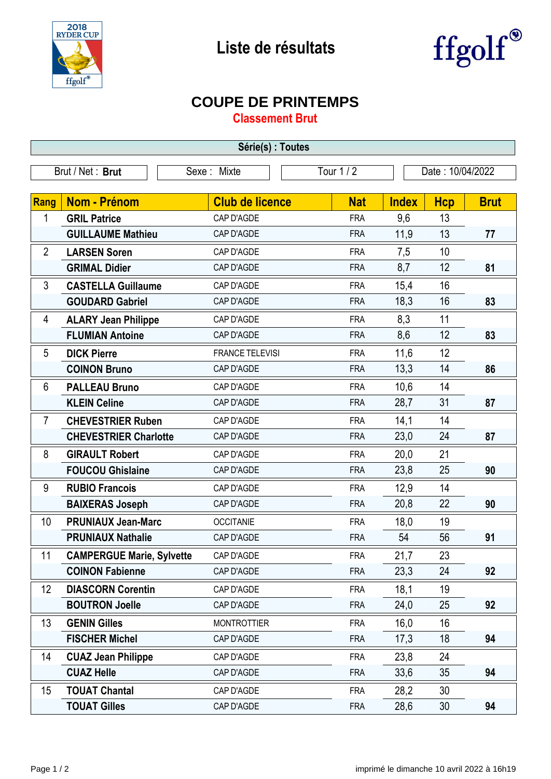



## **COUPE DE PRINTEMPS**

**Classement Brut**

| Série(s) : Toutes |                                  |                           |            |                  |            |             |  |  |  |
|-------------------|----------------------------------|---------------------------|------------|------------------|------------|-------------|--|--|--|
| Brut / Net: Brut  |                                  | Tour 1 / 2<br>Sexe: Mixte |            | Date: 10/04/2022 |            |             |  |  |  |
|                   |                                  |                           |            |                  |            |             |  |  |  |
| Rang              | <b>Nom - Prénom</b>              | <b>Club de licence</b>    | <b>Nat</b> | <b>Index</b>     | <b>Hcp</b> | <b>Brut</b> |  |  |  |
| 1                 | <b>GRIL Patrice</b>              | CAP D'AGDE                | <b>FRA</b> | 9,6              | 13         |             |  |  |  |
|                   | <b>GUILLAUME Mathieu</b>         | CAP D'AGDE                | <b>FRA</b> | 11,9             | 13         | 77          |  |  |  |
| $\overline{2}$    | <b>LARSEN Soren</b>              | CAP D'AGDE                | <b>FRA</b> | 7,5              | 10         |             |  |  |  |
|                   | <b>GRIMAL Didier</b>             | CAP D'AGDE                | <b>FRA</b> | 8,7              | 12         | 81          |  |  |  |
| 3                 | <b>CASTELLA Guillaume</b>        | CAP D'AGDE                | <b>FRA</b> | 15,4             | 16         |             |  |  |  |
|                   | <b>GOUDARD Gabriel</b>           | CAP D'AGDE                | <b>FRA</b> | 18,3             | 16         | 83          |  |  |  |
| 4                 | <b>ALARY Jean Philippe</b>       | CAP D'AGDE                | <b>FRA</b> | 8,3              | 11         |             |  |  |  |
|                   | <b>FLUMIAN Antoine</b>           | CAP D'AGDE                | <b>FRA</b> | 8,6              | 12         | 83          |  |  |  |
| 5                 | <b>DICK Pierre</b>               | <b>FRANCE TELEVISI</b>    | <b>FRA</b> | 11,6             | 12         |             |  |  |  |
|                   | <b>COINON Bruno</b>              | CAP D'AGDE                | <b>FRA</b> | 13,3             | 14         | 86          |  |  |  |
| $6\phantom{1}6$   | <b>PALLEAU Bruno</b>             | CAP D'AGDE                | <b>FRA</b> | 10,6             | 14         |             |  |  |  |
|                   | <b>KLEIN Celine</b>              | CAP D'AGDE                | <b>FRA</b> | 28,7             | 31         | 87          |  |  |  |
| 7                 | <b>CHEVESTRIER Ruben</b>         | CAP D'AGDE                | <b>FRA</b> | 14,1             | 14         |             |  |  |  |
|                   | <b>CHEVESTRIER Charlotte</b>     | CAP D'AGDE                | <b>FRA</b> | 23,0             | 24         | 87          |  |  |  |
| 8                 | <b>GIRAULT Robert</b>            | CAP D'AGDE                | <b>FRA</b> | 20,0             | 21         |             |  |  |  |
|                   | <b>FOUCOU Ghislaine</b>          | CAP D'AGDE                | <b>FRA</b> | 23,8             | 25         | 90          |  |  |  |
| 9                 | <b>RUBIO Francois</b>            | CAP D'AGDE                | <b>FRA</b> | 12,9             | 14         |             |  |  |  |
|                   | <b>BAIXERAS Joseph</b>           | CAP D'AGDE                | <b>FRA</b> | 20,8             | 22         | 90          |  |  |  |
| 10                | <b>PRUNIAUX Jean-Marc</b>        | <b>OCCITANIE</b>          | <b>FRA</b> | 18,0             | 19         |             |  |  |  |
|                   | <b>PRUNIAUX Nathalie</b>         | CAP D'AGDE                | <b>FRA</b> | 54               | 56         | 91          |  |  |  |
| 11                | <b>CAMPERGUE Marie, Sylvette</b> | CAP D'AGDE                | FRA        | 21,7             | 23         |             |  |  |  |
|                   | <b>COINON Fabienne</b>           | CAP D'AGDE                | <b>FRA</b> | 23,3             | 24         | 92          |  |  |  |
| 12 <sup>°</sup>   | <b>DIASCORN Corentin</b>         | CAP D'AGDE                | <b>FRA</b> | 18,1             | 19         |             |  |  |  |
|                   | <b>BOUTRON Joelle</b>            | CAP D'AGDE                | <b>FRA</b> | 24,0             | 25         | 92          |  |  |  |
| 13                | <b>GENIN Gilles</b>              | <b>MONTROTTIER</b>        | <b>FRA</b> | 16,0             | 16         |             |  |  |  |
|                   | <b>FISCHER Michel</b>            | CAP D'AGDE                | <b>FRA</b> | 17,3             | 18         | 94          |  |  |  |
| 14                | <b>CUAZ Jean Philippe</b>        | CAP D'AGDE                | <b>FRA</b> | 23,8             | 24         |             |  |  |  |
|                   | <b>CUAZ Helle</b>                | CAP D'AGDE                | <b>FRA</b> | 33,6             | 35         | 94          |  |  |  |
| 15                | <b>TOUAT Chantal</b>             | CAP D'AGDE                | <b>FRA</b> | 28,2             | 30         |             |  |  |  |
|                   | <b>TOUAT Gilles</b>              | CAP D'AGDE                | <b>FRA</b> | 28,6             | 30         | 94          |  |  |  |